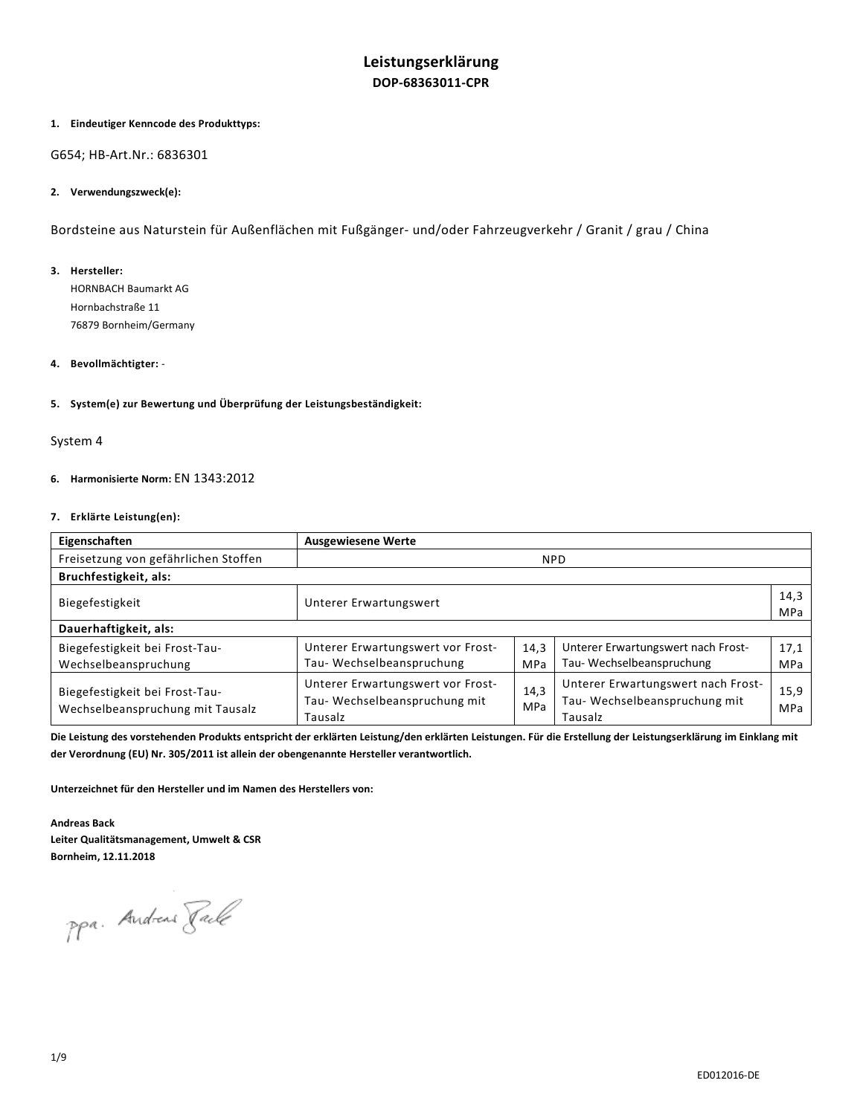# **Leistungserklärung DOP-68363011-CPR**

# **1. Eindeutiger Kenncode des Produkttyps:**

### G654; HB-Art.Nr.: 6836301

# **2. Verwendungszweck(e):**

Bordsteine aus Naturstein für Außenflächen mit Fußgänger- und/oder Fahrzeugverkehr / Granit / grau / China

#### **3. Hersteller:**

HORNBACH Baumarkt AG Hornbachstraße 11 76879 Bornheim/Germany

# **4. Bevollmächtigter:** -

**5. System(e) zur Bewertung und Überprüfung der Leistungsbeständigkeit:** 

## System 4

# **6. Harmonisierte Norm:** EN 1343:2012

### **7. Erklärte Leistung(en):**

| Eigenschaften                                                      | <b>Ausgewiesene Werte</b>                                                    |             |                                                                               |             |
|--------------------------------------------------------------------|------------------------------------------------------------------------------|-------------|-------------------------------------------------------------------------------|-------------|
| Freisetzung von gefährlichen Stoffen                               | <b>NPD</b>                                                                   |             |                                                                               |             |
| Bruchfestigkeit, als:                                              |                                                                              |             |                                                                               |             |
| Biegefestigkeit                                                    | Unterer Erwartungswert                                                       |             |                                                                               | 14,3<br>MPa |
| Dauerhaftigkeit, als:                                              |                                                                              |             |                                                                               |             |
| Biegefestigkeit bei Frost-Tau-<br>Wechselbeanspruchung             | Unterer Erwartungswert vor Frost-<br>Tau-Wechselbeanspruchung                | 14,3<br>MPa | Unterer Erwartungswert nach Frost-<br>Tau-Wechselbeanspruchung                | 17,1<br>MPa |
| Biegefestigkeit bei Frost-Tau-<br>Wechselbeanspruchung mit Tausalz | Unterer Erwartungswert vor Frost-<br>Tau-Wechselbeanspruchung mit<br>Tausalz | 14,3<br>MPa | Unterer Erwartungswert nach Frost-<br>Tau-Wechselbeanspruchung mit<br>Tausalz | 15,9<br>MPa |

**Die Leistung des vorstehenden Produkts entspricht der erklärten Leistung/den erklärten Leistungen. Für die Erstellung der Leistungserklärung im Einklang mit der Verordnung (EU) Nr. 305/2011 ist allein der obengenannte Hersteller verantwortlich.** 

**Unterzeichnet für den Hersteller und im Namen des Herstellers von:** 

**Andreas Back Leiter Qualitätsmanagement, Umwelt & CSR Bornheim, 12.11.2018** 

ppa. Andreas Rack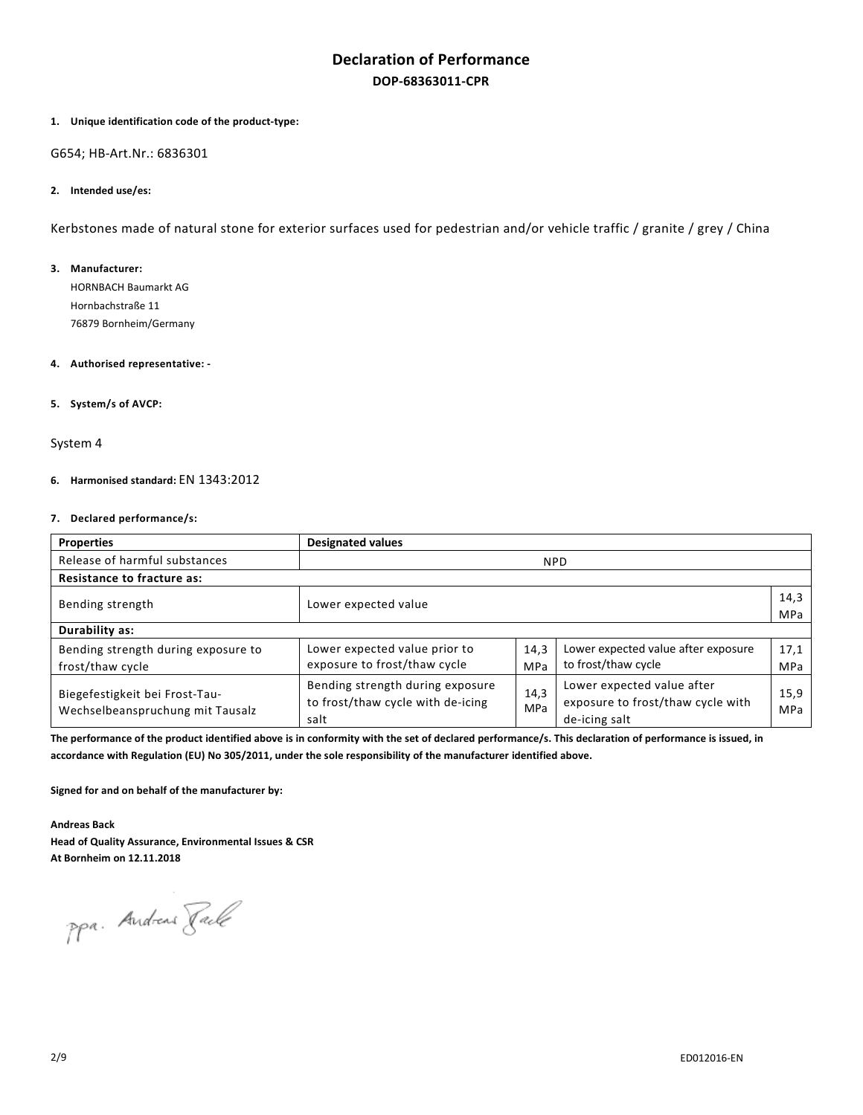# **Declaration of Performance DOP-68363011-CPR**

### **1. Unique identification code of the product-type:**

G654; HB-Art.Nr.: 6836301

### **2. Intended use/es:**

Kerbstones made of natural stone for exterior surfaces used for pedestrian and/or vehicle traffic / granite / grey / China

### **3. Manufacturer:**

HORNBACH Baumarkt AG Hornbachstraße 11 76879 Bornheim/Germany

## **4. Authorised representative: -**

# **5. System/s of AVCP:**

# System 4

# **6. Harmonised standard:** EN 1343:2012

### **7. Declared performance/s:**

| <b>Properties</b>                                                  | <b>Designated values</b>                                                      |             |                                                                                  |             |
|--------------------------------------------------------------------|-------------------------------------------------------------------------------|-------------|----------------------------------------------------------------------------------|-------------|
| Release of harmful substances                                      | <b>NPD</b>                                                                    |             |                                                                                  |             |
| <b>Resistance to fracture as:</b>                                  |                                                                               |             |                                                                                  |             |
| Bending strength                                                   | Lower expected value                                                          |             |                                                                                  | 14,3<br>MPa |
| Durability as:                                                     |                                                                               |             |                                                                                  |             |
| Bending strength during exposure to<br>frost/thaw cycle            | Lower expected value prior to<br>exposure to frost/thaw cycle                 | 14,3<br>MPa | Lower expected value after exposure<br>to frost/thaw cycle                       | 17,1<br>MPa |
| Biegefestigkeit bei Frost-Tau-<br>Wechselbeanspruchung mit Tausalz | Bending strength during exposure<br>to frost/thaw cycle with de-icing<br>salt | 14,3<br>MPa | Lower expected value after<br>exposure to frost/thaw cycle with<br>de-icing salt | 15,9<br>MPa |

The performance of the product identified above is in conformity with the set of declared performance/s. This declaration of performance is issued, in **accordance with Regulation (EU) No 305/2011, under the sole responsibility of the manufacturer identified above.** 

**Signed for and on behalf of the manufacturer by:** 

**Andreas Back** 

**Head of Quality Assurance, Environmental Issues & CSR At Bornheim on 12.11.2018** 

ppa. Andreas Tack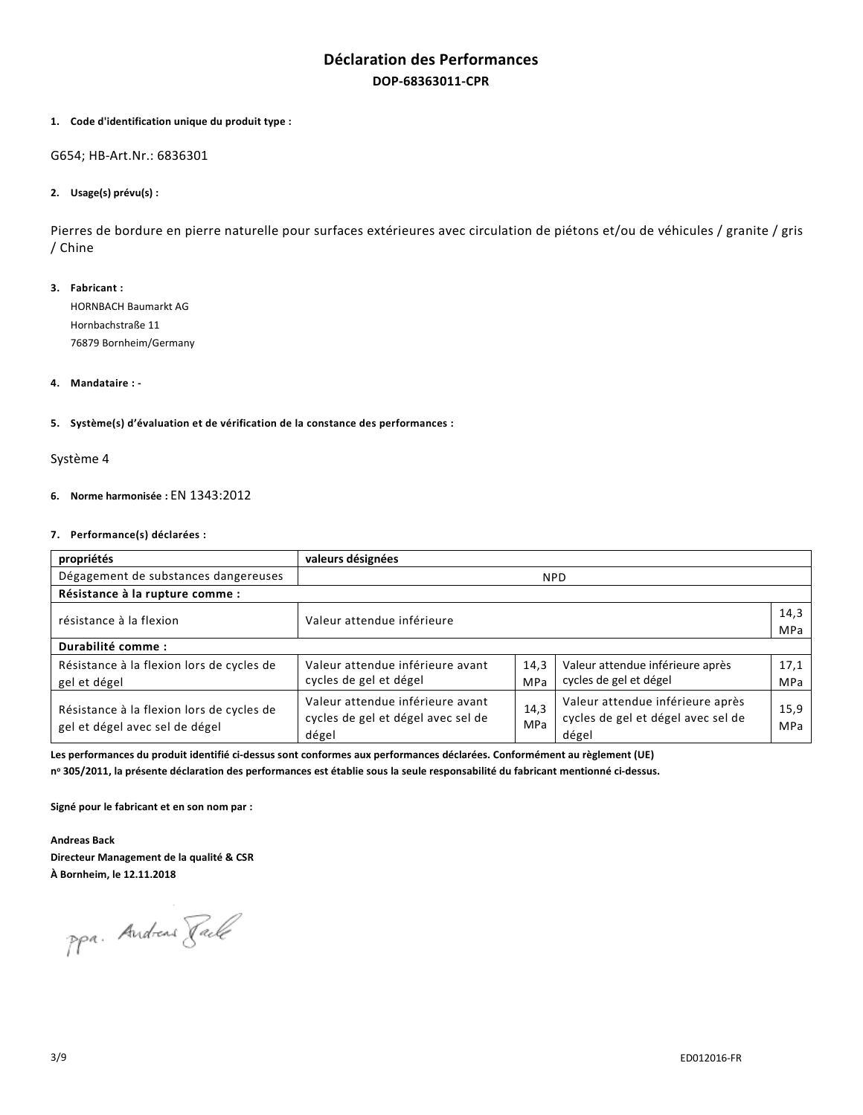# **Déclaration des Performances DOP-68363011-CPR**

### **1. Code d'identification unique du produit type :**

G654; HB-Art.Nr.: 6836301

# **2. Usage(s) prévu(s) :**

Pierres de bordure en pierre naturelle pour surfaces extérieures avec circulation de piétons et/ou de véhicules / granite / gris / Chine

**3. Fabricant :**  HORNBACH Baumarkt AG Hornbachstraße 11 76879 Bornheim/Germany

### **4. Mandataire : -**

### **5. Système(s) d'évaluation et de vérification de la constance des performances :**

# Système 4

# **6. Norme harmonisée :** EN 1343:2012

## **7. Performance(s) déclarées :**

| propriétés                                                                  | valeurs désignées                                                               |             |                                                                                 |                    |
|-----------------------------------------------------------------------------|---------------------------------------------------------------------------------|-------------|---------------------------------------------------------------------------------|--------------------|
| Dégagement de substances dangereuses                                        |                                                                                 |             | <b>NPD</b>                                                                      |                    |
| Résistance à la rupture comme :                                             |                                                                                 |             |                                                                                 |                    |
| résistance à la flexion                                                     | Valeur attendue inférieure                                                      |             |                                                                                 | 14,3<br>MPa        |
| Durabilité comme :                                                          |                                                                                 |             |                                                                                 |                    |
| Résistance à la flexion lors de cycles de<br>gel et dégel                   | Valeur attendue inférieure avant<br>cycles de gel et dégel                      | 14,3<br>MPa | Valeur attendue inférieure après<br>cycles de gel et dégel                      | 17,1<br><b>MPa</b> |
| Résistance à la flexion lors de cycles de<br>gel et dégel avec sel de dégel | Valeur attendue inférieure avant<br>cycles de gel et dégel avec sel de<br>dégel | 14.3<br>MPa | Valeur attendue inférieure après<br>cycles de gel et dégel avec sel de<br>dégel | 15,9<br>MPa        |

**Les performances du produit identifié ci-dessus sont conformes aux performances déclarées. Conformément au règlement (UE)** 

**n o 305/2011, la présente déclaration des performances est établie sous la seule responsabilité du fabricant mentionné ci-dessus.** 

**Signé pour le fabricant et en son nom par :** 

**Andreas Back Directeur Management de la qualité & CSR À Bornheim, le 12.11.2018**

ppa. Andreas Rack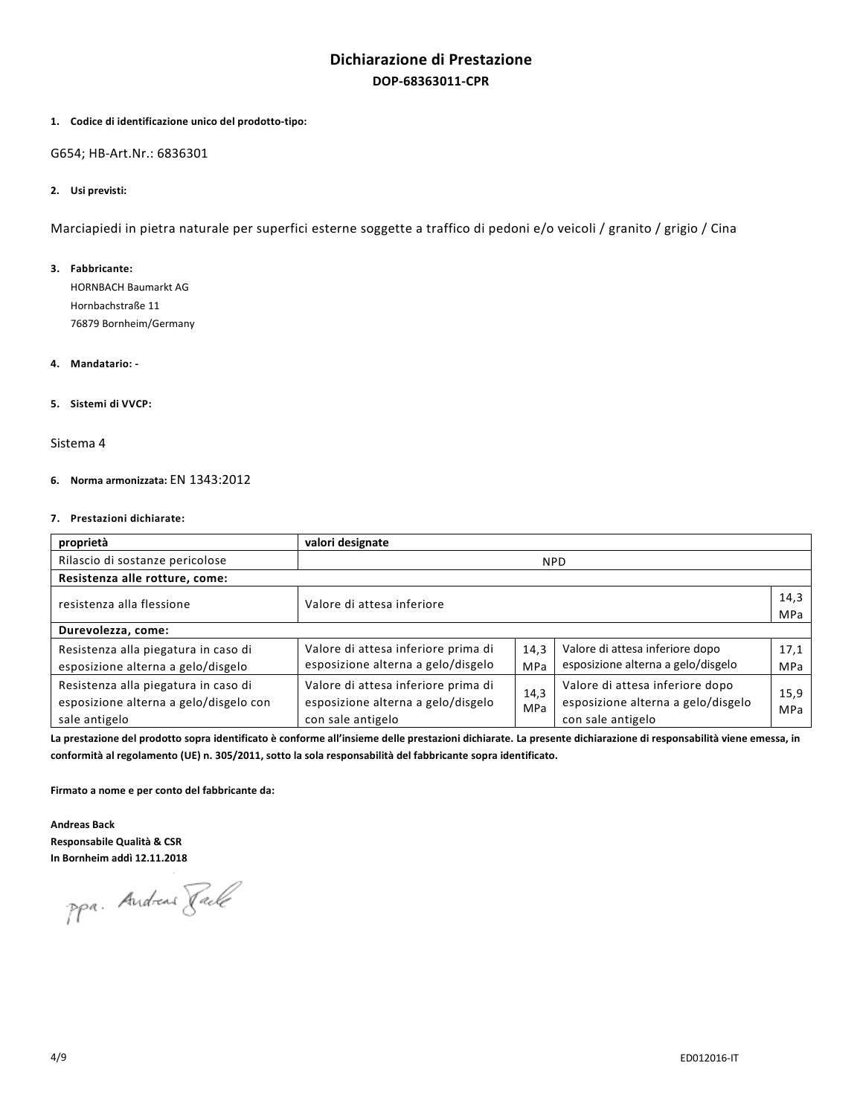# **Dichiarazione di Prestazione DOP-68363011-CPR**

### **1. Codice di identificazione unico del prodotto-tipo:**

G654; HB-Art.Nr.: 6836301

## **2. Usi previsti:**

Marciapiedi in pietra naturale per superfici esterne soggette a traffico di pedoni e/o veicoli / granito / grigio / Cina

#### **3. Fabbricante:**

HORNBACH Baumarkt AG Hornbachstraße 11 76879 Bornheim/Germany

# **4. Mandatario: -**

# **5. Sistemi di VVCP:**

# Sistema 4

# **6. Norma armonizzata:** EN 1343:2012

## **7. Prestazioni dichiarate:**

| proprietà                                                                      | valori designate                                                          |                    |                                                                       |            |
|--------------------------------------------------------------------------------|---------------------------------------------------------------------------|--------------------|-----------------------------------------------------------------------|------------|
| Rilascio di sostanze pericolose                                                |                                                                           |                    | <b>NPD</b>                                                            |            |
| Resistenza alle rotture, come:                                                 |                                                                           |                    |                                                                       |            |
| resistenza alla flessione                                                      | Valore di attesa inferiore                                                |                    |                                                                       | 14,3       |
|                                                                                |                                                                           |                    |                                                                       | <b>MPa</b> |
| Durevolezza, come:                                                             |                                                                           |                    |                                                                       |            |
| Resistenza alla piegatura in caso di                                           | Valore di attesa inferiore prima di                                       | 14,3               | Valore di attesa inferiore dopo                                       | 17,1       |
| esposizione alterna a gelo/disgelo                                             | esposizione alterna a gelo/disgelo                                        | MPa                | esposizione alterna a gelo/disgelo                                    | MPa        |
| Resistenza alla piegatura in caso di<br>esposizione alterna a gelo/disgelo con | Valore di attesa inferiore prima di<br>esposizione alterna a gelo/disgelo | 14,3<br><b>MPa</b> | Valore di attesa inferiore dopo<br>esposizione alterna a gelo/disgelo | 15,9       |
| sale antigelo                                                                  | con sale antigelo                                                         |                    | con sale antigelo                                                     | MPa        |

**La prestazione del prodotto sopra identificato è conforme all'insieme delle prestazioni dichiarate. La presente dichiarazione di responsabilità viene emessa, in conformità al regolamento (UE) n. 305/2011, sotto la sola responsabilità del fabbricante sopra identificato.** 

**Firmato a nome e per conto del fabbricante da:** 

**Andreas Back Responsabile Qualità & CSR In Bornheim addì 12.11.2018**

ppa. Andreas Rack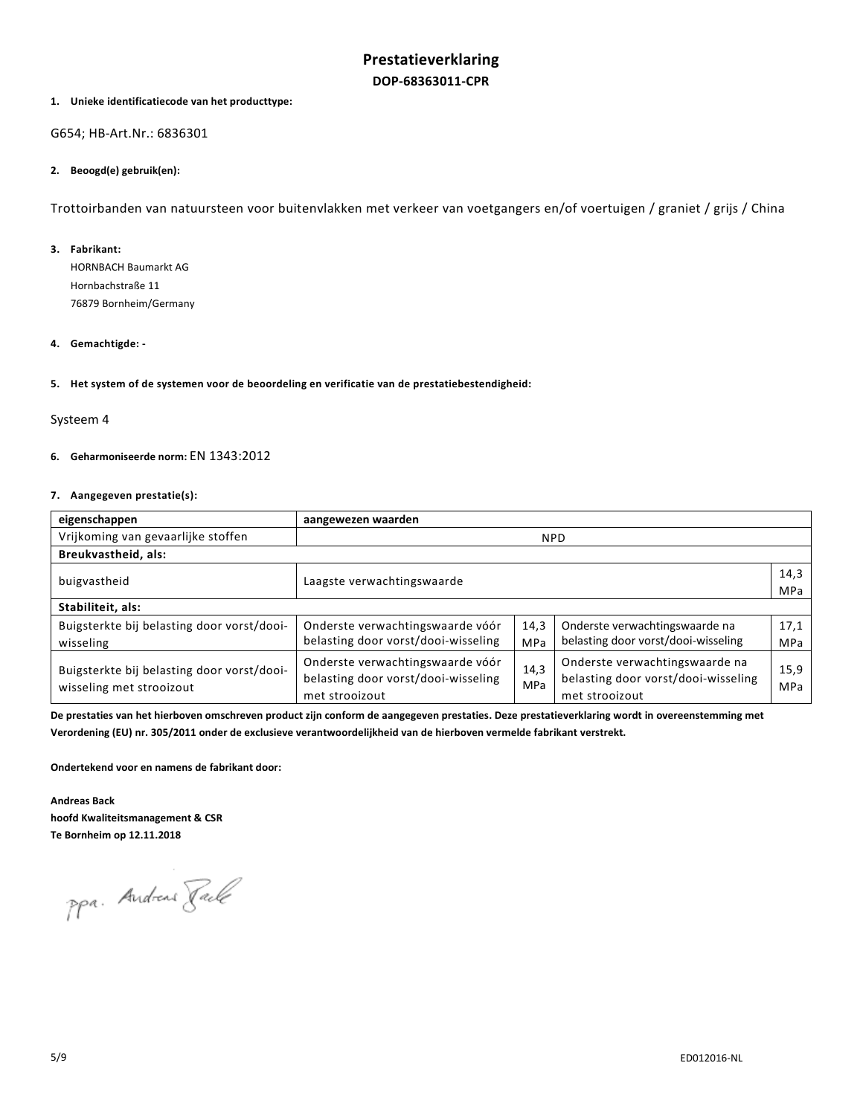## **1. Unieke identificatiecode van het producttype:**

G654; HB-Art.Nr.: 6836301

### **2. Beoogd(e) gebruik(en):**

Trottoirbanden van natuursteen voor buitenvlakken met verkeer van voetgangers en/of voertuigen / graniet / grijs / China

### **3. Fabrikant:**

HORNBACH Baumarkt AG Hornbachstraße 11 76879 Bornheim/Germany

## **4. Gemachtigde: -**

**5. Het system of de systemen voor de beoordeling en verificatie van de prestatiebestendigheid:** 

### Systeem 4

# **6. Geharmoniseerde norm:** EN 1343:2012

# **7. Aangegeven prestatie(s):**

| eigenschappen                                                          | aangewezen waarden                                                                        |             |                                                                                         |             |
|------------------------------------------------------------------------|-------------------------------------------------------------------------------------------|-------------|-----------------------------------------------------------------------------------------|-------------|
| Vrijkoming van gevaarlijke stoffen                                     |                                                                                           |             | <b>NPD</b>                                                                              |             |
| Breukvastheid, als:                                                    |                                                                                           |             |                                                                                         |             |
| buigvastheid                                                           | Laagste verwachtingswaarde                                                                |             |                                                                                         | 14,3<br>MPa |
| Stabiliteit, als:                                                      |                                                                                           |             |                                                                                         |             |
| Buigsterkte bij belasting door vorst/dooi-<br>wisseling                | Onderste verwachtingswaarde vóór<br>belasting door vorst/dooi-wisseling                   | 14,3<br>MPa | Onderste verwachtingswaarde na<br>belasting door vorst/dooi-wisseling                   | 17,1<br>MPa |
| Buigsterkte bij belasting door vorst/dooi-<br>wisseling met strooizout | Onderste verwachtingswaarde vóór<br>belasting door vorst/dooi-wisseling<br>met strooizout | 14,3<br>MPa | Onderste verwachtingswaarde na<br>belasting door vorst/dooi-wisseling<br>met strooizout | 15,9<br>MPa |

**De prestaties van het hierboven omschreven product zijn conform de aangegeven prestaties. Deze prestatieverklaring wordt in overeenstemming met Verordening (EU) nr. 305/2011 onder de exclusieve verantwoordelijkheid van de hierboven vermelde fabrikant verstrekt.** 

**Ondertekend voor en namens de fabrikant door:** 

**Andreas Back hoofd Kwaliteitsmanagement & CSR Te Bornheim op 12.11.2018**

ppa. Andreas Rack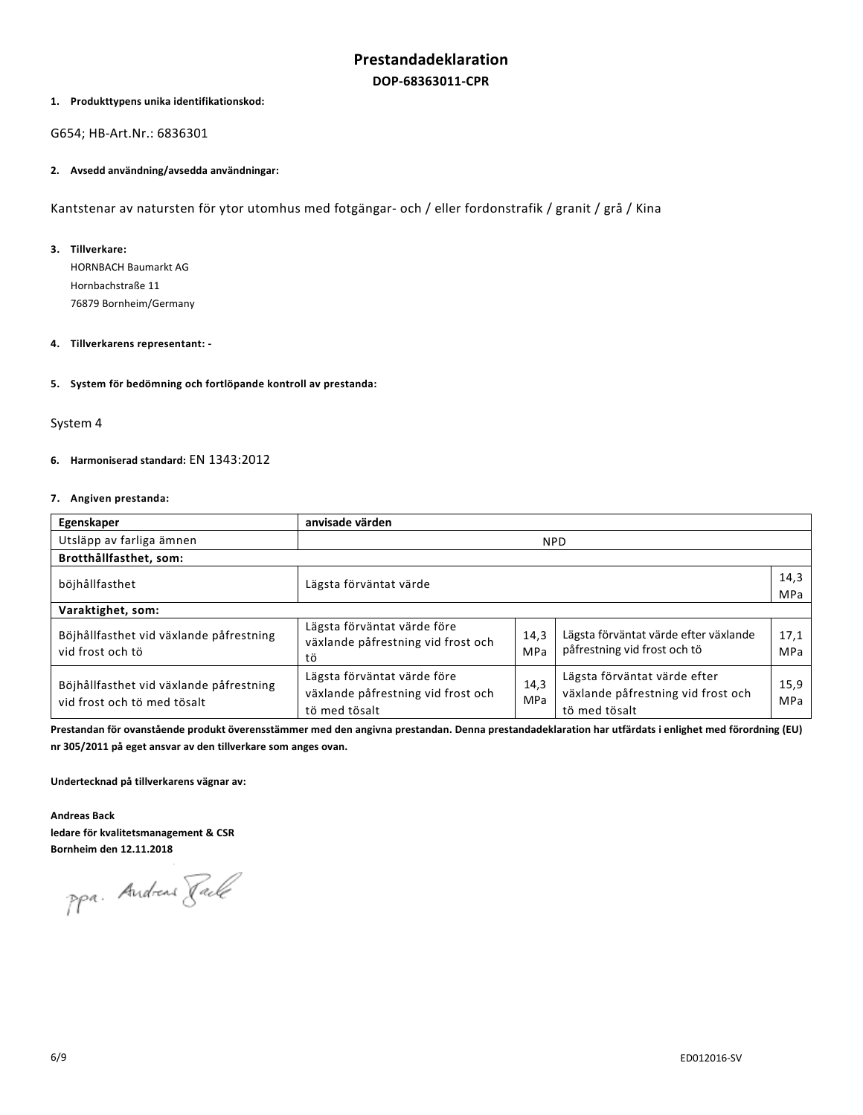# **1. Produkttypens unika identifikationskod:**

G654; HB-Art.Nr.: 6836301

### **2. Avsedd användning/avsedda användningar:**

Kantstenar av natursten för ytor utomhus med fotgängar- och / eller fordonstrafik / granit / grå / Kina

### **3. Tillverkare:**

HORNBACH Baumarkt AG Hornbachstraße 11 76879 Bornheim/Germany

## **4. Tillverkarens representant: -**

### **5. System för bedömning och fortlöpande kontroll av prestanda:**

# System 4

# **6. Harmoniserad standard:** EN 1343:2012

## **7. Angiven prestanda:**

| Egenskaper                                                             | anvisade värden                                                                    |                    |                                                                                     |             |
|------------------------------------------------------------------------|------------------------------------------------------------------------------------|--------------------|-------------------------------------------------------------------------------------|-------------|
| Utsläpp av farliga ämnen                                               |                                                                                    | <b>NPD</b>         |                                                                                     |             |
| Brotthållfasthet, som:                                                 |                                                                                    |                    |                                                                                     |             |
| böjhållfasthet                                                         | Lägsta förväntat värde                                                             |                    |                                                                                     | 14,3<br>MPa |
|                                                                        |                                                                                    |                    |                                                                                     |             |
| Varaktighet, som:                                                      |                                                                                    |                    |                                                                                     |             |
| Böjhållfasthet vid växlande påfrestning<br>vid frost och tö            | Lägsta förväntat värde före<br>växlande påfrestning vid frost och<br>tö            | 14,3<br>MPa        | Lägsta förväntat värde efter växlande<br>påfrestning vid frost och tö               | 17,1<br>MPa |
| Böjhållfasthet vid växlande påfrestning<br>vid frost och tö med tösalt | Lägsta förväntat värde före<br>växlande påfrestning vid frost och<br>tö med tösalt | 14.3<br><b>MPa</b> | Lägsta förväntat värde efter<br>växlande påfrestning vid frost och<br>tö med tösalt | 15,9<br>MPa |

**Prestandan för ovanstående produkt överensstämmer med den angivna prestandan. Denna prestandadeklaration har utfärdats i enlighet med förordning (EU) nr 305/2011 på eget ansvar av den tillverkare som anges ovan.** 

**Undertecknad på tillverkarens vägnar av:** 

**Andreas Back ledare för kvalitetsmanagement & CSR Bornheim den 12.11.2018**

ppa. Andreas Rack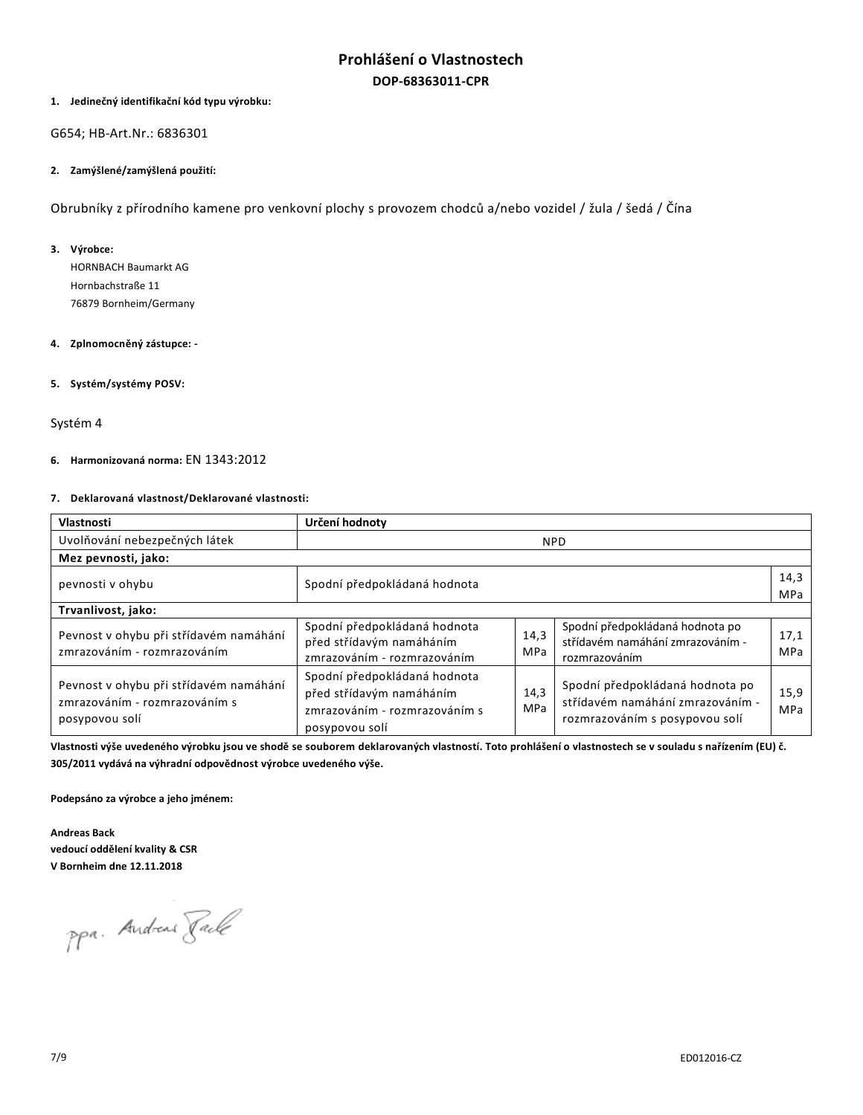# **Prohlášení o Vlastnostech DOP-68363011-CPR**

# **1. Jedinečný identifikační kód typu výrobku:**

G654; HB-Art.Nr.: 6836301

### **2. Zamýšlené/zamýšlená použití:**

Obrubníky z přírodního kamene pro venkovní plochy s provozem chodců a/nebo vozidel / žula / šedá / Čína

### **3. Výrobce:**

HORNBACH Baumarkt AG Hornbachstraße 11 76879 Bornheim/Germany

## **4. Zplnomocněný zástupce: -**

### **5. Systém/systémy POSV:**

### Systém 4

# **6. Harmonizovaná norma:** EN 1343:2012

# **7. Deklarovaná vlastnost/Deklarované vlastnosti:**

| Vlastnosti                                                                                | Určení hodnoty                                                                                              |                    |                                                                                                       |             |
|-------------------------------------------------------------------------------------------|-------------------------------------------------------------------------------------------------------------|--------------------|-------------------------------------------------------------------------------------------------------|-------------|
| Uvolňování nebezpečných látek                                                             | <b>NPD</b>                                                                                                  |                    |                                                                                                       |             |
| Mez pevnosti, jako:                                                                       |                                                                                                             |                    |                                                                                                       |             |
| pevnosti v ohybu                                                                          | Spodní předpokládaná hodnota                                                                                |                    |                                                                                                       | 14,3<br>MPa |
| Trvanlivost, jako:                                                                        |                                                                                                             |                    |                                                                                                       |             |
| Pevnost v ohybu při střídavém namáhání<br>zmrazováním - rozmrazováním                     | Spodní předpokládaná hodnota<br>před střídavým namáháním<br>zmrazováním - rozmrazováním                     | 14,3<br>MPa        | Spodní předpokládaná hodnota po<br>střídavém namáhání zmrazováním -<br>rozmrazováním                  | 17,1<br>MPa |
| Pevnost v ohybu při střídavém namáhání<br>zmrazováním - rozmrazováním s<br>posypovou solí | Spodní předpokládaná hodnota<br>před střídavým namáháním<br>zmrazováním - rozmrazováním s<br>posypovou solí | 14,3<br><b>MPa</b> | Spodní předpokládaná hodnota po<br>střídavém namáhání zmrazováním -<br>rozmrazováním s posypovou solí | 15,9<br>MPa |

**Vlastnosti výše uvedeného výrobku jsou ve shodě se souborem deklarovaných vlastností. Toto prohlášení o vlastnostech se v souladu s nařízením (EU) č. 305/2011 vydává na výhradní odpovědnost výrobce uvedeného výše.** 

**Podepsáno za výrobce a jeho jménem:** 

**Andreas Back vedoucí oddělení kvality & CSR V Bornheim dne 12.11.2018** 

ppa. Andreas Rache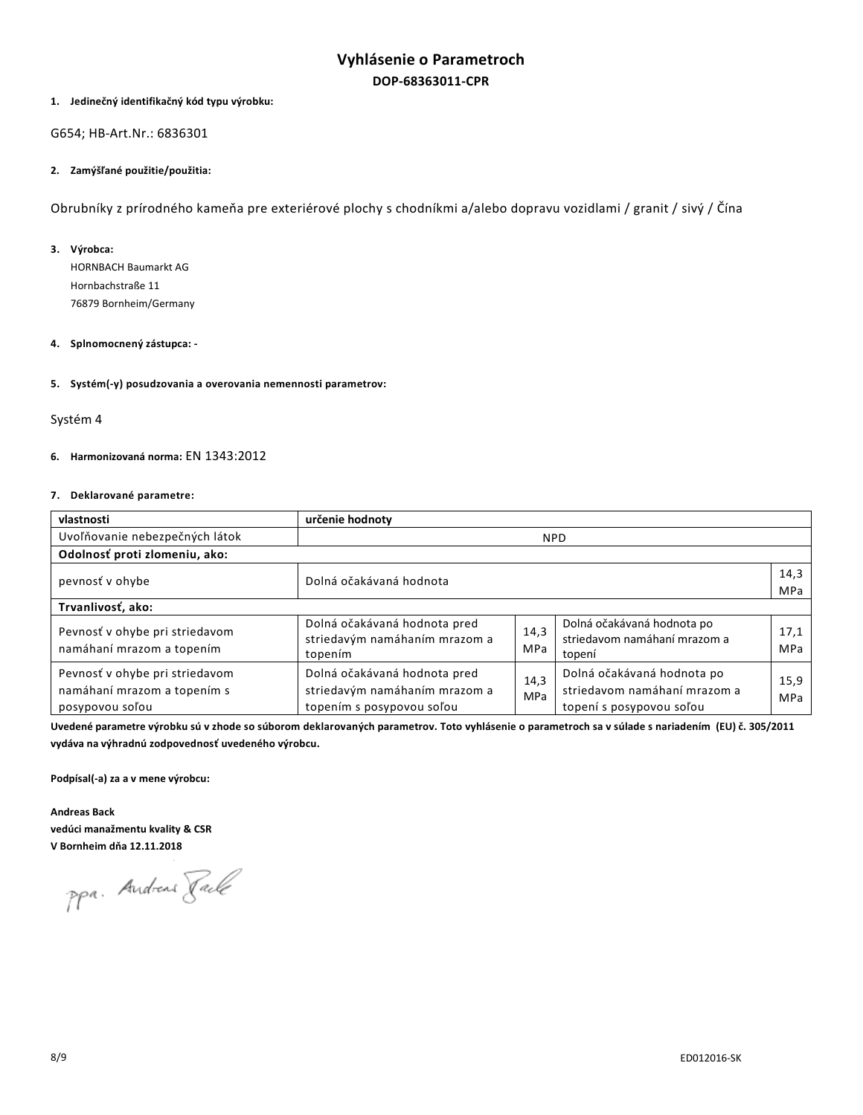# **Vyhlásenie o Parametroch DOP-68363011-CPR**

## **1. Jedinečný identifikačný kód typu výrobku:**

G654; HB-Art.Nr.: 6836301

### **2. Zamýšľané použitie/použitia:**

Obrubníky z prírodného kameňa pre exteriérové plochy s chodníkmi a/alebo dopravu vozidlami / granit / sivý / Čína

## **3. Výrobca:**

HORNBACH Baumarkt AG Hornbachstraße 11 76879 Bornheim/Germany

## **4. Splnomocnený zástupca: -**

# **5. Systém(-y) posudzovania a overovania nemennosti parametrov:**

### Systém 4

## **6. Harmonizovaná norma:** EN 1343:2012

# **7. Deklarované parametre:**

| vlastnosti                                                                       | určenie hodnoty                                                                            |                    |                                                                                        |             |
|----------------------------------------------------------------------------------|--------------------------------------------------------------------------------------------|--------------------|----------------------------------------------------------------------------------------|-------------|
| Uvoľňovanie nebezpečných látok                                                   | <b>NPD</b>                                                                                 |                    |                                                                                        |             |
| Odolnosť proti zlomeniu, ako:                                                    |                                                                                            |                    |                                                                                        |             |
| pevnosť v ohybe                                                                  | Dolná očakávaná hodnota                                                                    |                    |                                                                                        | 14,3<br>MPa |
| Trvanlivosť, ako:                                                                |                                                                                            |                    |                                                                                        |             |
| Pevnosť v ohybe pri striedavom<br>namáhaní mrazom a topením                      | Dolná očakávaná hodnota pred<br>striedavým namáhaním mrazom a<br>topením                   | 14,3<br>MPa        | Dolná očakávaná hodnota po<br>striedavom namáhaní mrazom a<br>topení                   | 17,1<br>MPa |
| Pevnosť v ohybe pri striedavom<br>namáhaní mrazom a topením s<br>posypovou soľou | Dolná očakávaná hodnota pred<br>striedavým namáhaním mrazom a<br>topením s posypovou soľou | 14.3<br><b>MPa</b> | Dolná očakávaná hodnota po<br>striedavom namáhaní mrazom a<br>topení s posypovou soľou | 15,9<br>MPa |

**Uvedené parametre výrobku sú v zhode so súborom deklarovaných parametrov. Toto vyhlásenie o parametroch sa v súlade s nariadením (EU) č. 305/2011 vydáva na výhradnú zodpovednosť uvedeného výrobcu.** 

**Podpísal(-a) za a v mene výrobcu:** 

**Andreas Back vedúci manažmentu kvality & CSR V Bornheim dňa 12.11.2018**

ppa. Andreas Rack